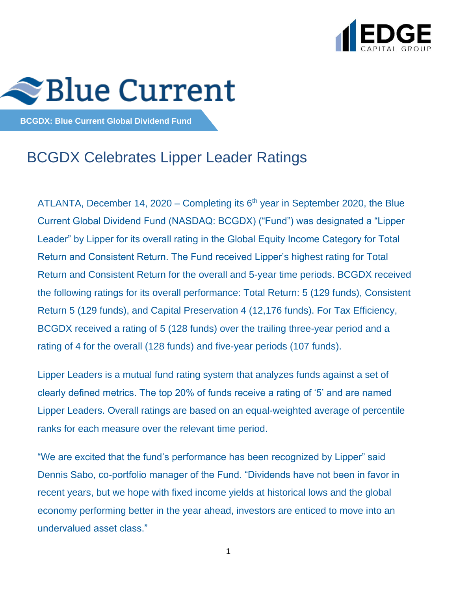



**BCGDX: Blue Current Global Dividend Fund**

# BCGDX Celebrates Lipper Leader Ratings

ATLANTA, December 14, 2020 – Completing its  $6<sup>th</sup>$  year in September 2020, the Blue Current Global Dividend Fund (NASDAQ: BCGDX) ("Fund") was designated a "Lipper Leader" by Lipper for its overall rating in the Global Equity Income Category for Total Return and Consistent Return. The Fund received Lipper's highest rating for Total Return and Consistent Return for the overall and 5-year time periods. BCGDX received the following ratings for its overall performance: Total Return: 5 (129 funds), Consistent Return 5 (129 funds), and Capital Preservation 4 (12,176 funds). For Tax Efficiency, BCGDX received a rating of 5 (128 funds) over the trailing three-year period and a rating of 4 for the overall (128 funds) and five-year periods (107 funds).

Lipper Leaders is a mutual fund rating system that analyzes funds against a set of clearly defined metrics. The top 20% of funds receive a rating of '5' and are named Lipper Leaders. Overall ratings are based on an equal-weighted average of percentile ranks for each measure over the relevant time period.

"We are excited that the fund's performance has been recognized by Lipper" said Dennis Sabo, co-portfolio manager of the Fund. "Dividends have not been in favor in recent years, but we hope with fixed income yields at historical lows and the global economy performing better in the year ahead, investors are enticed to move into an undervalued asset class."

1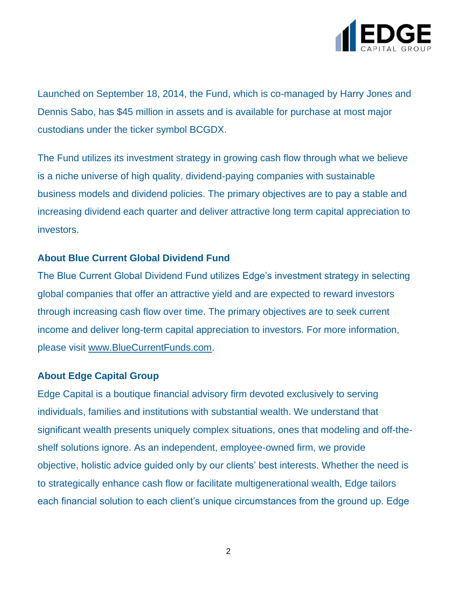

Launched on September 18, 2014, the Fund, which is co-managed by Harry Jones and Dennis Sabo, has \$45 million in assets and is available for purchase at most major custodians under the ticker symbol BCGDX.

The Fund utilizes its investment strategy in growing cash flow through what we believe is a niche universe of high quality, dividend-paying companies with sustainable business models and dividend policies. The primary objectives are to pay a stable and increasing dividend each quarter and deliver attractive long term capital appreciation to investors.

## **About Blue Current Global Dividend Fund**

The Blue Current Global Dividend Fund utilizes Edge's investment strategy in selecting global companies that offer an attractive yield and are expected to reward investors through increasing cash flow over time. The primary objectives are to seek current income and deliver long-term capital appreciation to investors. For more information, please visit [www.BlueCurrentFunds.com.](http://www.bluecurrentfunds.com/)

## **About Edge Capital Group**

Edge Capital is a boutique financial advisory firm devoted exclusively to serving individuals, families and institutions with substantial wealth. We understand that significant wealth presents uniquely complex situations, ones that modeling and off-theshelf solutions ignore. As an independent, employee-owned firm, we provide objective, holistic advice guided only by our clients' best interests. Whether the need is to strategically enhance cash flow or facilitate multigenerational wealth, Edge tailors each financial solution to each client's unique circumstances from the ground up. Edge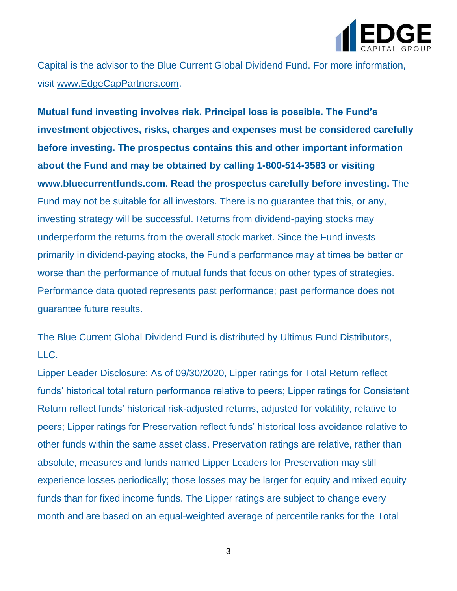

Capital is the advisor to the Blue Current Global Dividend Fund. For more information, visit [www.EdgeCapPartners.com.](http://www.edgecappartners.com/)

**Mutual fund investing involves risk. Principal loss is possible. The Fund's investment objectives, risks, charges and expenses must be considered carefully before investing. The prospectus contains this and other important information about the Fund and may be obtained by calling 1-800-514-3583 or visiting www.bluecurrentfunds.com. Read the prospectus carefully before investing.** The Fund may not be suitable for all investors. There is no guarantee that this, or any, investing strategy will be successful. Returns from dividend-paying stocks may underperform the returns from the overall stock market. Since the Fund invests primarily in dividend-paying stocks, the Fund's performance may at times be better or worse than the performance of mutual funds that focus on other types of strategies. Performance data quoted represents past performance; past performance does not guarantee future results.

The Blue Current Global Dividend Fund is distributed by Ultimus Fund Distributors,  $ILC.$ 

Lipper Leader Disclosure: As of 09/30/2020, Lipper ratings for Total Return reflect funds' historical total return performance relative to peers; Lipper ratings for Consistent Return reflect funds' historical risk-adjusted returns, adjusted for volatility, relative to peers; Lipper ratings for Preservation reflect funds' historical loss avoidance relative to other funds within the same asset class. Preservation ratings are relative, rather than absolute, measures and funds named Lipper Leaders for Preservation may still experience losses periodically; those losses may be larger for equity and mixed equity funds than for fixed income funds. The Lipper ratings are subject to change every month and are based on an equal-weighted average of percentile ranks for the Total

3